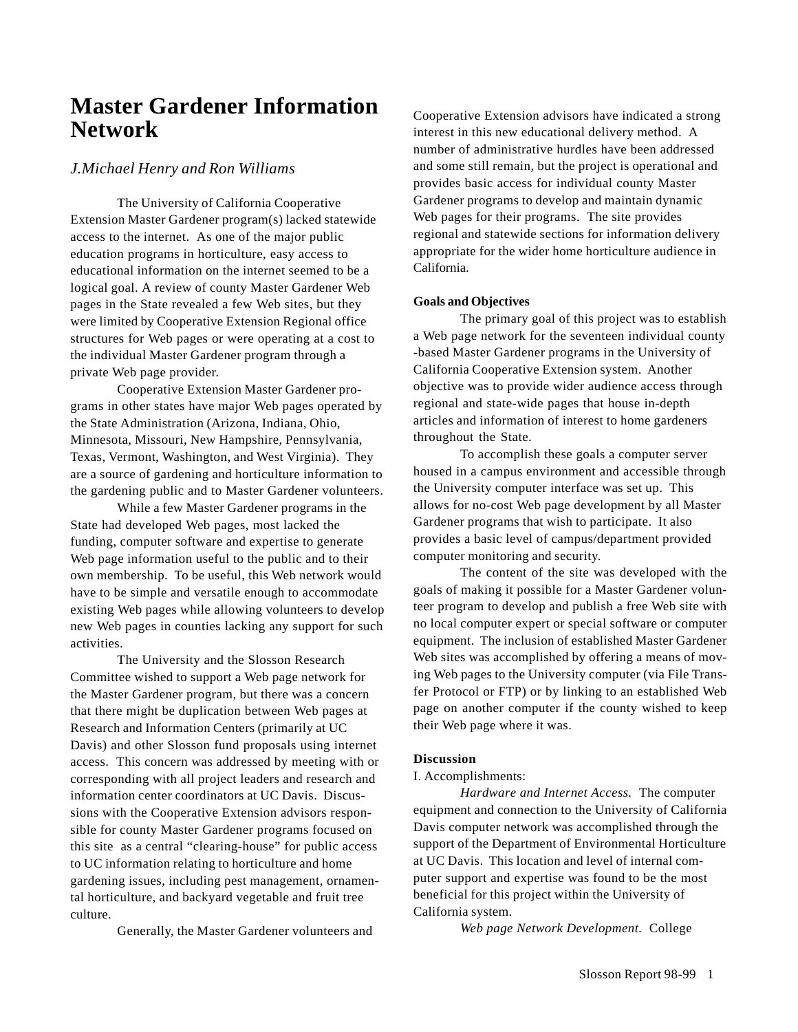# **Master Gardener Information Network**

## *J.Michael Henry and Ron Williams*

The University of California Cooperative Extension Master Gardener program(s) lacked statewide access to the internet. As one of the major public education programs in horticulture, easy access to educational information on the internet seemed to be a logical goal. A review of county Master Gardener Web pages in the State revealed a few Web sites, but they were limited by Cooperative Extension Regional office structures for Web pages or were operating at a cost to the individual Master Gardener program through a private Web page provider.

Cooperative Extension Master Gardener programs in other states have major Web pages operated by the State Administration (Arizona, Indiana, Ohio, Minnesota, Missouri, New Hampshire, Pennsylvania, Texas, Vermont, Washington, and West Virginia). They are a source of gardening and horticulture information to the gardening public and to Master Gardener volunteers.

While a few Master Gardener programs in the State had developed Web pages, most lacked the funding, computer software and expertise to generate Web page information useful to the public and to their own membership. To be useful, this Web network would have to be simple and versatile enough to accommodate existing Web pages while allowing volunteers to develop new Web pages in counties lacking any support for such activities.

The University and the Slosson Research Committee wished to support a Web page network for the Master Gardener program, but there was a concern that there might be duplication between Web pages at Research and Information Centers (primarily at UC Davis) and other Slosson fund proposals using internet access. This concern was addressed by meeting with or corresponding with all project leaders and research and information center coordinators at UC Davis. Discussions with the Cooperative Extension advisors responsible for county Master Gardener programs focused on this site as a central "clearing-house" for public access to UC information relating to horticulture and home gardening issues, including pest management, ornamental horticulture, and backyard vegetable and fruit tree culture.

Generally, the Master Gardener volunteers and

Cooperative Extension advisors have indicated a strong interest in this new educational delivery method. A number of administrative hurdles have been addressed and some still remain, but the project is operational and provides basic access for individual county Master Gardener programs to develop and maintain dynamic Web pages for their programs. The site provides regional and statewide sections for information delivery appropriate for the wider home horticulture audience in California.

### **Goals and Objectives**

The primary goal of this project was to establish a Web page network for the seventeen individual county -based Master Gardener programs in the University of California Cooperative Extension system. Another objective was to provide wider audience access through regional and state-wide pages that house in-depth articles and information of interest to home gardeners throughout the State.

To accomplish these goals a computer server housed in a campus environment and accessible through the University computer interface was set up. This allows for no-cost Web page development by all Master Gardener programs that wish to participate. It also provides a basic level of campus/department provided computer monitoring and security.

The content of the site was developed with the goals of making it possible for a Master Gardener volunteer program to develop and publish a free Web site with no local computer expert or special software or computer equipment. The inclusion of established Master Gardener Web sites was accomplished by offering a means of moving Web pages to the University computer (via File Transfer Protocol or FTP) or by linking to an established Web page on another computer if the county wished to keep their Web page where it was.

### **Discussion**

### I. Accomplishments:

*Hardware and Internet Access.* The computer equipment and connection to the University of California Davis computer network was accomplished through the support of the Department of Environmental Horticulture at UC Davis. This location and level of internal computer support and expertise was found to be the most beneficial for this project within the University of California system.

*Web page Network Development.* College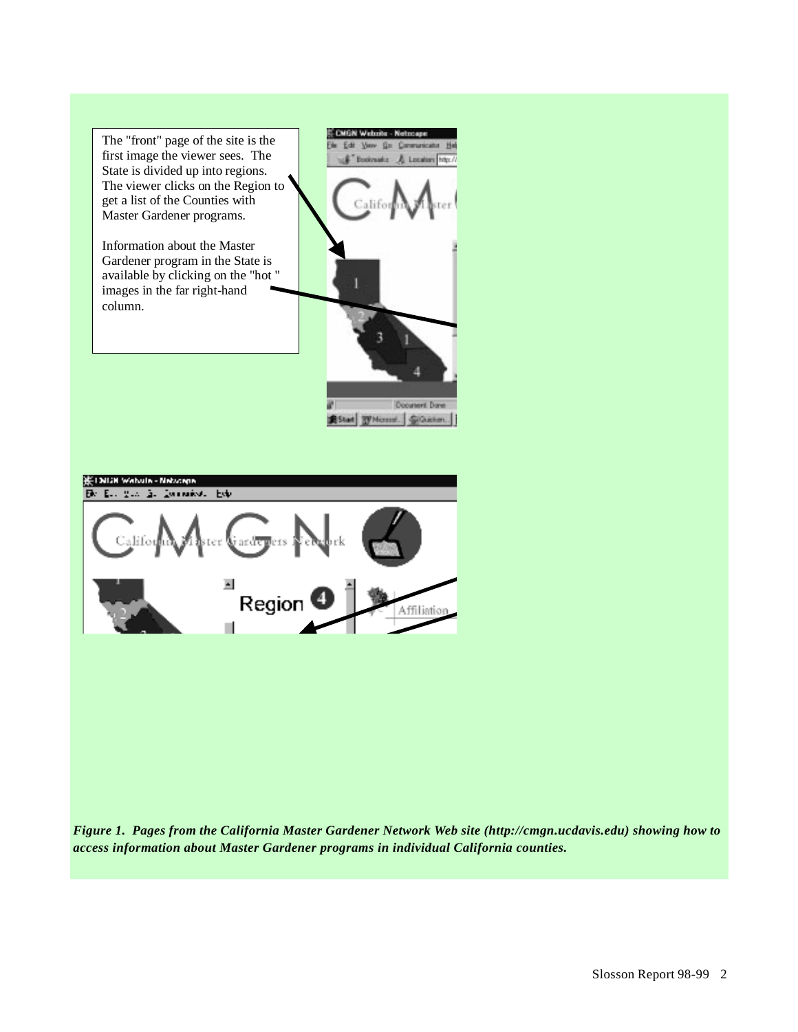

*Figure 1. Pages from the California Master Gardener Network Web site (http://cmgn.ucdavis.edu) showing how to access information about Master Gardener programs in individual California counties.*